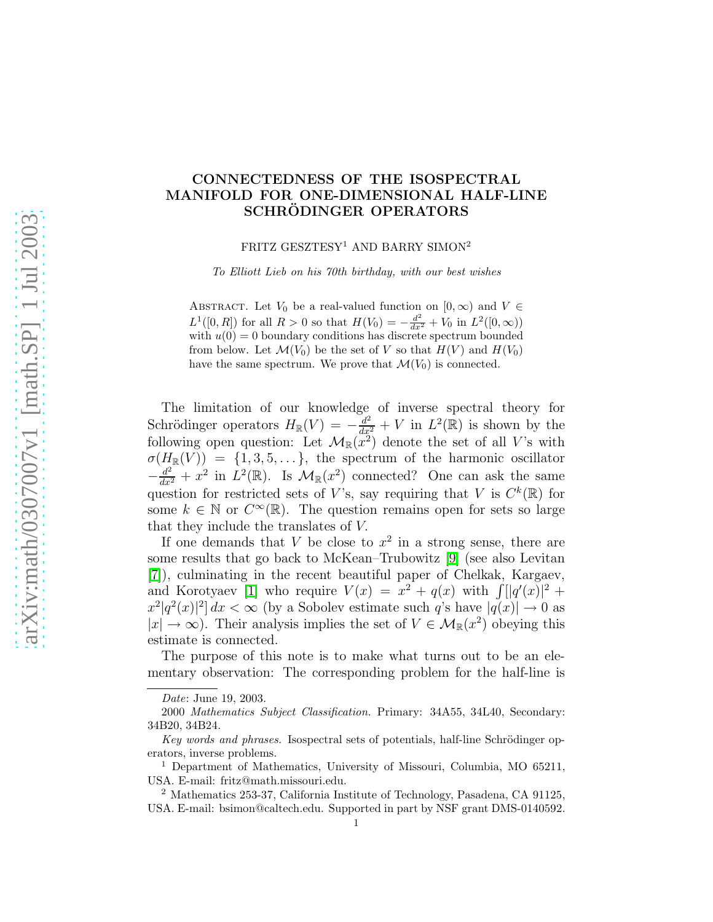## CONNECTEDNESS OF THE ISOSPECTRAL MANIFOLD FOR ONE-DIMENSIONAL HALF-LINE SCHRÖDINGER OPERATORS

FRITZ GESZTESY<sup>1</sup> AND BARRY SIMON<sup>2</sup>

*To Elliott Lieb on his 70th birthday, with our best wishes*

ABSTRACT. Let  $V_0$  be a real-valued function on  $[0, \infty)$  and  $V \in$  $L^1([0, R])$  for all  $R > 0$  so that  $H(V_0) = -\frac{d^2}{dx^2} + V_0$  in  $L^2([0, \infty))$ with  $u(0) = 0$  boundary conditions has discrete spectrum bounded from below. Let  $\mathcal{M}(V_0)$  be the set of V so that  $H(V)$  and  $H(V_0)$ have the same spectrum. We prove that  $\mathcal{M}(V_0)$  is connected.

The limitation of our knowledge of inverse spectral theory for Schrödinger operators  $H_{\mathbb{R}}(V) = -\frac{d^2}{dx^2} + V$  in  $L^2(\mathbb{R})$  is shown by the following open question: Let  $\mathcal{M}_{\mathbb{R}}(x^2)$  denote the set of all V's with  $\sigma(H_{\mathbb{R}}(V)) = \{1, 3, 5, \ldots\},\$  the spectrum of the harmonic oscillator  $-\frac{d^2}{dx^2} + x^2$  in  $L^2(\mathbb{R})$ . Is  $\mathcal{M}_{\mathbb{R}}(x^2)$  connected? One can ask the same question for restricted sets of V's, say requiring that V is  $C^k(\mathbb{R})$  for some  $k \in \mathbb{N}$  or  $C^{\infty}(\mathbb{R})$ . The question remains open for sets so large that they include the translates of V.

If one demands that  $V$  be close to  $x^2$  in a strong sense, there are some results that go back to McKean–Trubowitz [\[9\]](#page-4-0) (see also Levitan [\[7\]](#page-3-0)), culminating in the recent beautiful paper of Chelkak, Kargaev, and Korotyaev [\[1\]](#page-3-1) who require  $V(x) = x^2 + q(x)$  with  $\int [q'(x)]^2 +$  $|x^2|q^2(x)|^2\right]dx < \infty$  (by a Sobolev estimate such q's have  $|q(x)| \to 0$  as  $|x| \to \infty$ ). Their analysis implies the set of  $V \in \mathcal{M}_{\mathbb{R}}(x^2)$  obeying this estimate is connected.

The purpose of this note is to make what turns out to be an elementary observation: The corresponding problem for the half-line is

*Date*: June 19, 2003.

<sup>2000</sup> *Mathematics Subject Classification.* Primary: 34A55, 34L40, Secondary: 34B20, 34B24.

*Key words and phrases.* Isospectral sets of potentials, half-line Schrödinger operators, inverse problems.

<sup>1</sup> Department of Mathematics, University of Missouri, Columbia, MO 65211, USA. E-mail: fritz@math.missouri.edu.

<sup>2</sup> Mathematics 253-37, California Institute of Technology, Pasadena, CA 91125, USA. E-mail: bsimon@caltech.edu. Supported in part by NSF grant DMS-0140592.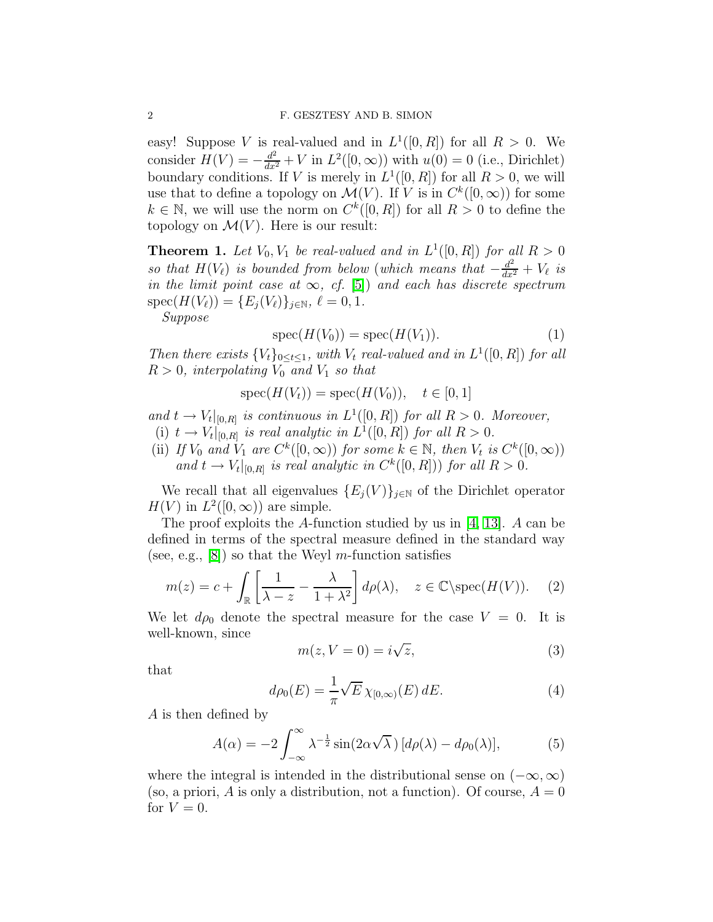easy! Suppose V is real-valued and in  $L^1([0, R])$  for all  $R > 0$ . We consider  $H(V) = -\frac{d^2}{dx^2} + V$  in  $L^2([0,\infty))$  with  $u(0) = 0$  (i.e., Dirichlet) boundary conditions. If V is merely in  $L^1([0, R])$  for all  $R > 0$ , we will use that to define a topology on  $\mathcal{M}(V)$ . If V is in  $C^k([0,\infty))$  for some  $k \in \mathbb{N}$ , we will use the norm on  $C^k([0, R])$  for all  $R > 0$  to define the topology on  $\mathcal{M}(V)$ . Here is our result:

<span id="page-1-1"></span>**Theorem 1.** Let  $V_0$ ,  $V_1$  be real-valued and in  $L^1([0, R])$  for all  $R > 0$ so that  $H(V_\ell)$  is bounded from below (which means that  $-\frac{d^2}{dx^2} + V_\ell$  is in the limit point case at  $\infty$ , cf. [\[5\]](#page-3-2)) and each has discrete spectrum  $spec(H(V_{\ell})) = \{E_i(V_{\ell})\}_{i \in \mathbb{N}}, \ell = 0, 1.$ 

Suppose

$$
spec(H(V_0)) = spec(H(V_1)).
$$
\n(1)

Then there exists  ${V_t}_{0 \le t \le 1}$ , with  $V_t$  real-valued and in  $L^1([0, R])$  for all  $R > 0$ , interpolating  $V_0$  and  $V_1$  so that

$$
spec(H(V_t)) = spec(H(V_0)), \quad t \in [0, 1]
$$

and  $t \to V_t|_{[0,R]}$  is continuous in  $L^1([0,R])$  for all  $R > 0$ . Moreover,

- (i)  $t \to V_t|_{[0,R]}$  is real analytic in  $L^1([0,R])$  for all  $R > 0$ .
- (ii) If  $V_0$  and  $V_1$  are  $C^k([0,\infty))$  for some  $k \in \mathbb{N}$ , then  $V_t$  is  $C^k([0,\infty))$ and  $t \to V_t|_{[0,R]}$  is real analytic in  $C^k([0,R])$  for all  $R > 0$ .

We recall that all eigenvalues  $\{E_j(V)\}_{j\in\mathbb{N}}$  of the Dirichlet operator  $H(V)$  in  $L^2([0,\infty))$  are simple.

The proof exploits the A-function studied by us in [\[4,](#page-3-3) [13\]](#page-4-1). A can be defined in terms of the spectral measure defined in the standard way (see, e.g.,  $[8]$ ) so that the Weyl *m*-function satisfies

$$
m(z) = c + \int_{\mathbb{R}} \left[ \frac{1}{\lambda - z} - \frac{\lambda}{1 + \lambda^2} \right] d\rho(\lambda), \quad z \in \mathbb{C} \setminus \text{spec}(H(V)). \tag{2}
$$

We let  $d\rho_0$  denote the spectral measure for the case  $V = 0$ . It is well-known, since

$$
m(z, V = 0) = i\sqrt{z},\tag{3}
$$

that

$$
d\rho_0(E) = \frac{1}{\pi} \sqrt{E} \,\chi_{[0,\infty)}(E) \, dE. \tag{4}
$$

A is then defined by

<span id="page-1-0"></span>
$$
A(\alpha) = -2 \int_{-\infty}^{\infty} \lambda^{-\frac{1}{2}} \sin(2\alpha \sqrt{\lambda}) \left[ d\rho(\lambda) - d\rho_0(\lambda) \right],\tag{5}
$$

where the integral is intended in the distributional sense on  $(-\infty, \infty)$ (so, a priori, A is only a distribution, not a function). Of course,  $A = 0$ for  $V = 0$ .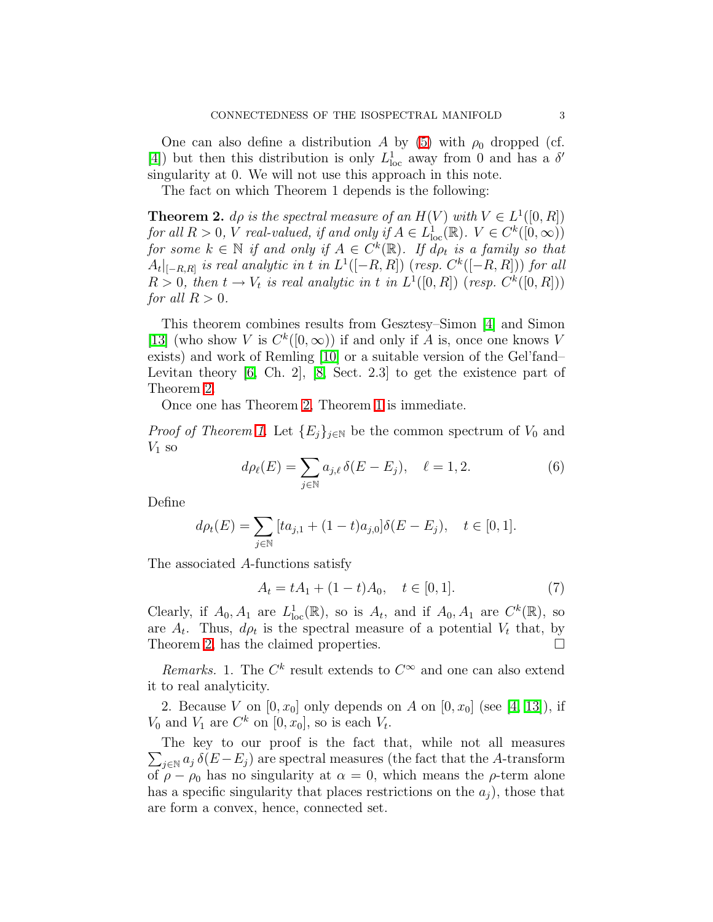One can also define a distribution A by [\(5\)](#page-1-0) with  $\rho_0$  dropped (cf. [\[4\]](#page-3-3)) but then this distribution is only  $L^1_{loc}$  away from 0 and has a  $\delta'$ singularity at 0. We will not use this approach in this note.

The fact on which Theorem 1 depends is the following:

<span id="page-2-0"></span>**Theorem 2.** do is the spectral measure of an  $H(V)$  with  $V \in L^1([0, R])$ for all  $R > 0$ , V real-valued, if and only if  $A \in L^1_{loc}(\mathbb{R})$ .  $V \in C^k([0,\infty))$ for some  $k \in \mathbb{N}$  if and only if  $A \in C^k(\mathbb{R})$ . If  $\overline{d}\rho_t$  is a family so that  $A_t|_{[-R,R]}$  is real analytic in t in  $L^1([-R,R])$  (resp.  $C^k([-R,R]))$  for all  $R > 0$ , then  $t \to V_t$  is real analytic in t in  $L^1([0, R])$  (resp.  $C^k([0, R]))$ ) for all  $R > 0$ .

This theorem combines results from Gesztesy–Simon [\[4\]](#page-3-3) and Simon [\[13\]](#page-4-1) (who show V is  $C^k([0,\infty))$  if and only if A is, once one knows V exists) and work of Remling [\[10\]](#page-4-3) or a suitable version of the Gel'fand– Levitan theory [\[6,](#page-3-4) Ch. 2], [\[8,](#page-4-2) Sect. 2.3] to get the existence part of Theorem [2.](#page-2-0)

Once one has Theorem [2,](#page-2-0) Theorem [1](#page-1-1) is immediate.

*Proof of Theorem [1.](#page-1-1)* Let  ${E_i}_{i\in\mathbb{N}}$  be the common spectrum of  $V_0$  and  $V_1$  so

$$
d\rho_{\ell}(E) = \sum_{j \in \mathbb{N}} a_{j,\ell} \,\delta(E - E_j), \quad \ell = 1, 2. \tag{6}
$$

Define

$$
d\rho_t(E) = \sum_{j \in \mathbb{N}} \left[ t a_{j,1} + (1-t) a_{j,0} \right] \delta(E - E_j), \quad t \in [0, 1].
$$

The associated A-functions satisfy

$$
A_t = tA_1 + (1 - t)A_0, \quad t \in [0, 1].
$$
 (7)

Clearly, if  $A_0, A_1$  are  $L^1_{loc}(\mathbb{R})$ , so is  $A_t$ , and if  $A_0, A_1$  are  $C^k(\mathbb{R})$ , so are  $A_t$ . Thus,  $d\rho_t$  is the spectral measure of a potential  $V_t$  that, by Theorem [2,](#page-2-0) has the claimed properties.

Remarks. 1. The  $C^k$  result extends to  $C^{\infty}$  and one can also extend it to real analyticity.

2. Because V on  $[0, x_0]$  only depends on A on  $[0, x_0]$  (see  $[4, 13]$  $[4, 13]$ ), if  $V_0$  and  $V_1$  are  $C^k$  on  $[0, x_0]$ , so is each  $V_t$ .

 $\sum_{j\in\mathbb{N}} a_j \,\delta(E-E_j)$  are spectral measures (the fact that the A-transform The key to our proof is the fact that, while not all measures of  $\rho - \rho_0$  has no singularity at  $\alpha = 0$ , which means the  $\rho$ -term alone has a specific singularity that places restrictions on the  $a_j$ , those that are form a convex, hence, connected set.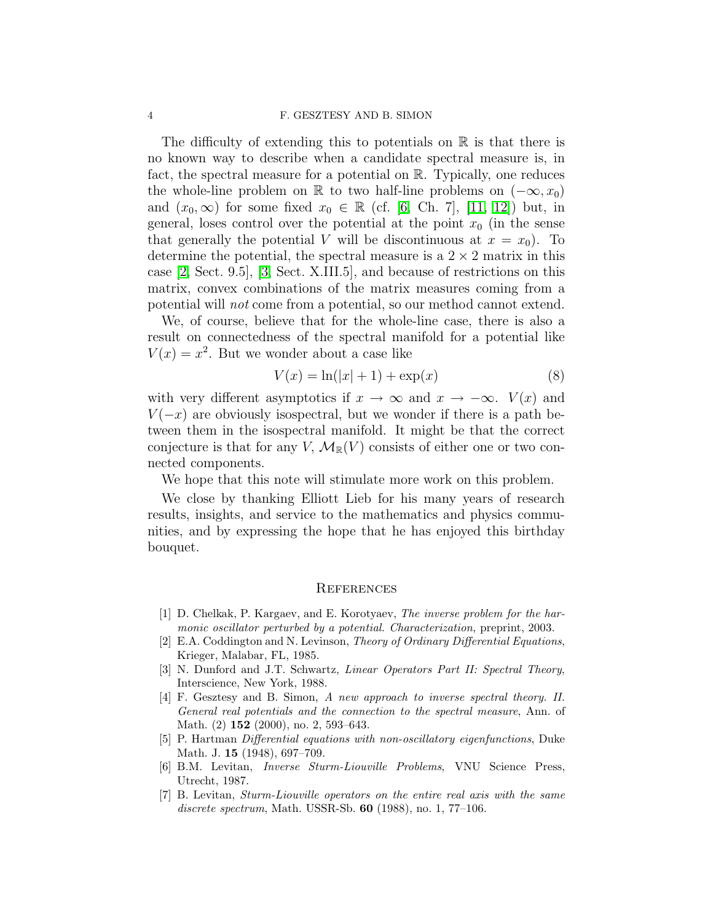## 4 F. GESZTESY AND B. SIMON

The difficulty of extending this to potentials on  $\mathbb R$  is that there is no known way to describe when a candidate spectral measure is, in fact, the spectral measure for a potential on  $\mathbb{R}$ . Typically, one reduces the whole-line problem on R to two half-line problems on  $(-\infty, x_0)$ and  $(x_0, \infty)$  for some fixed  $x_0 \in \mathbb{R}$  (cf. [\[6,](#page-3-4) Ch. 7], [\[11,](#page-4-4) [12\]](#page-4-5)) but, in general, loses control over the potential at the point  $x_0$  (in the sense that generally the potential V will be discontinuous at  $x = x_0$ ). To determine the potential, the spectral measure is a  $2 \times 2$  matrix in this case [\[2,](#page-3-5) Sect. 9.5], [\[3,](#page-3-6) Sect. X.III.5], and because of restrictions on this matrix, convex combinations of the matrix measures coming from a potential will not come from a potential, so our method cannot extend.

We, of course, believe that for the whole-line case, there is also a result on connectedness of the spectral manifold for a potential like  $V(x) = x^2$ . But we wonder about a case like

$$
V(x) = \ln(|x| + 1) + \exp(x)
$$
 (8)

with very different asymptotics if  $x \to \infty$  and  $x \to -\infty$ .  $V(x)$  and  $V(-x)$  are obviously isospectral, but we wonder if there is a path between them in the isospectral manifold. It might be that the correct conjecture is that for any V,  $\mathcal{M}_{\mathbb{R}}(V)$  consists of either one or two connected components.

We hope that this note will stimulate more work on this problem.

We close by thanking Elliott Lieb for his many years of research results, insights, and service to the mathematics and physics communities, and by expressing the hope that he has enjoyed this birthday bouquet.

## **REFERENCES**

- <span id="page-3-1"></span>[1] D. Chelkak, P. Kargaev, and E. Korotyaev, *The inverse problem for the harmonic oscillator perturbed by a potential. Characterization*, preprint, 2003.
- <span id="page-3-5"></span>[2] E.A. Coddington and N. Levinson, *Theory of Ordinary Differential Equations*, Krieger, Malabar, FL, 1985.
- <span id="page-3-6"></span>[3] N. Dunford and J.T. Schwartz, *Linear Operators Part II: Spectral Theory*, Interscience, New York, 1988.
- <span id="page-3-3"></span>[4] F. Gesztesy and B. Simon, *A new approach to inverse spectral theory. II. General real potentials and the connection to the spectral measure*, Ann. of Math. (2) **152** (2000), no. 2, 593–643.
- <span id="page-3-4"></span><span id="page-3-2"></span>[5] P. Hartman *Differential equations with non-oscillatory eigenfunctions*, Duke Math. J. 15 (1948), 697–709.
- [6] B.M. Levitan, *Inverse Sturm-Liouville Problems*, VNU Science Press, Utrecht, 1987.
- <span id="page-3-0"></span>[7] B. Levitan, *Sturm-Liouville operators on the entire real axis with the same discrete spectrum*, Math. USSR-Sb. 60 (1988), no. 1, 77–106.